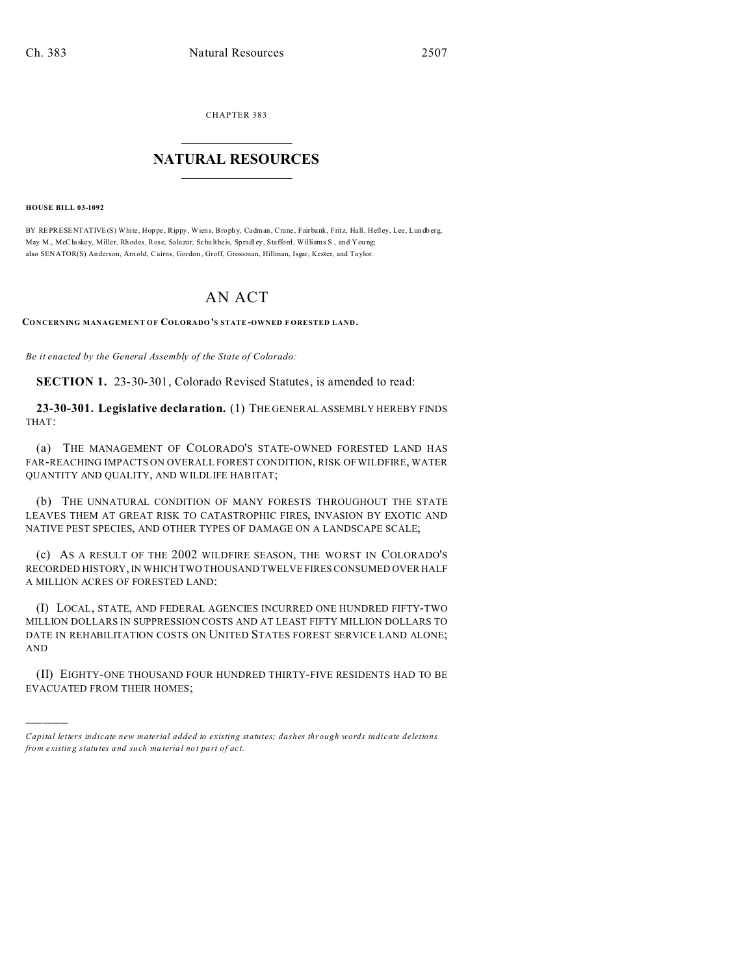**CHAPTER 383** 

## **NATURAL RESOURCES**

**HOUSE BILL 03-1092** 

BY REPRESENT ATIVE (S) White, Hoppe, Rippy, Wiens, Brophy, Cadman, Crane, Fairbank, Fritz, Hall, Hefley, Lee, Lundberg, May M., McCluskey, Miller, Rhodes, Rose, Salazar, Schultheis, Spradley, Stafford, Williams S., and Young; also SENATOR(S) Anderson, Arnold, Cairns, Gordon, Groff, Grossman, Hillman, Isgar, Kester, and Taylor.

## AN ACT

CONCERNING MANAGEMENT OF COLORADO'S STATE-OWNED FORESTED LAND.

Be it enacted by the General Assembly of the State of Colorado:

**SECTION 1.** 23-30-301, Colorado Revised Statutes, is amended to read:

23-30-301. Legislative declaration. (1) THE GENERAL ASSEMBLY HEREBY FINDS THAT:

(a) THE MANAGEMENT OF COLORADO'S STATE-OWNED FORESTED LAND HAS FAR-REACHING IMPACTS ON OVERALL FOREST CONDITION, RISK OF WILDFIRE, WATER QUANTITY AND QUALITY, AND WILDLIFE HABITAT;

(b) THE UNNATURAL CONDITION OF MANY FORESTS THROUGHOUT THE STATE LEAVES THEM AT GREAT RISK TO CATASTROPHIC FIRES, INVASION BY EXOTIC AND NATIVE PEST SPECIES, AND OTHER TYPES OF DAMAGE ON A LANDSCAPE SCALE;

(c) AS A RESULT OF THE 2002 WILDFIRE SEASON, THE WORST IN COLORADO'S RECORDED HISTORY, IN WHICH TWO THOUSAND TWELVE FIRES CONSUMED OVER HALF A MILLION ACRES OF FORESTED LAND:

(I) LOCAL, STATE, AND FEDERAL AGENCIES INCURRED ONE HUNDRED FIFTY-TWO MILLION DOLLARS IN SUPPRESSION COSTS AND AT LEAST FIFTY MILLION DOLLARS TO DATE IN REHABILITATION COSTS ON UNITED STATES FOREST SERVICE LAND ALONE; **AND** 

(II) EIGHTY-ONE THOUSAND FOUR HUNDRED THIRTY-FIVE RESIDENTS HAD TO BE EVACUATED FROM THEIR HOMES;

Capital letters indicate new material added to existing statutes; dashes through words indicate deletions from existing statutes and such material not part of act.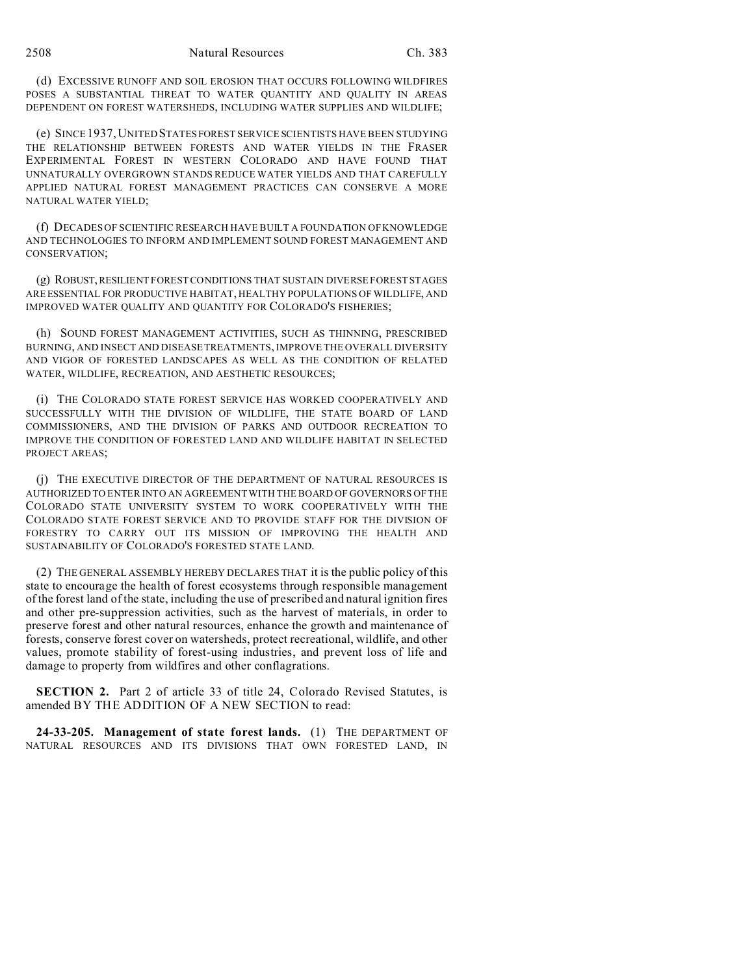(d) EXCESSIVE RUNOFF AND SOIL EROSION THAT OCCURS FOLLOWING WILDFIRES POSES A SUBSTANTIAL THREAT TO WATER QUANTITY AND QUALITY IN AREAS DEPENDENT ON FOREST WATERSHEDS, INCLUDING WATER SUPPLIES AND WILDLIFE;

(e) SINCE 1937,UNITED STATESFOREST SERVICE SCIENTISTS HAVE BEEN STUDYING THE RELATIONSHIP BETWEEN FORESTS AND WATER YIELDS IN THE FRASER EXPERIMENTAL FOREST IN WESTERN COLORADO AND HAVE FOUND THAT UNNATURALLY OVERGROWN STANDS REDUCE WATER YIELDS AND THAT CAREFULLY APPLIED NATURAL FOREST MANAGEMENT PRACTICES CAN CONSERVE A MORE NATURAL WATER YIELD;

(f) DECADES OF SCIENTIFIC RESEARCH HAVE BUILT A FOUNDATION OF KNOWLEDGE AND TECHNOLOGIES TO INFORM AND IMPLEMENT SOUND FOREST MANAGEMENT AND CONSERVATION;

(g) ROBUST,RESILIENT FOREST CONDITIONS THAT SUSTAIN DIVERSE FOREST STAGES ARE ESSENTIAL FOR PRODUCTIVE HABITAT, HEALTHY POPULATIONS OF WILDLIFE, AND IMPROVED WATER QUALITY AND QUANTITY FOR COLORADO'S FISHERIES;

(h) SOUND FOREST MANAGEMENT ACTIVITIES, SUCH AS THINNING, PRESCRIBED BURNING, AND INSECT AND DISEASE TREATMENTS, IMPROVE THE OVERALL DIVERSITY AND VIGOR OF FORESTED LANDSCAPES AS WELL AS THE CONDITION OF RELATED WATER, WILDLIFE, RECREATION, AND AESTHETIC RESOURCES;

(i) THE COLORADO STATE FOREST SERVICE HAS WORKED COOPERATIVELY AND SUCCESSFULLY WITH THE DIVISION OF WILDLIFE, THE STATE BOARD OF LAND COMMISSIONERS, AND THE DIVISION OF PARKS AND OUTDOOR RECREATION TO IMPROVE THE CONDITION OF FORESTED LAND AND WILDLIFE HABITAT IN SELECTED PROJECT AREAS;

(j) THE EXECUTIVE DIRECTOR OF THE DEPARTMENT OF NATURAL RESOURCES IS AUTHORIZED TO ENTER INTO AN AGREEMENT WITH THE BOARD OF GOVERNORS OF THE COLORADO STATE UNIVERSITY SYSTEM TO WORK COOPERATIVELY WITH THE COLORADO STATE FOREST SERVICE AND TO PROVIDE STAFF FOR THE DIVISION OF FORESTRY TO CARRY OUT ITS MISSION OF IMPROVING THE HEALTH AND SUSTAINABILITY OF COLORADO'S FORESTED STATE LAND.

(2) THE GENERAL ASSEMBLY HEREBY DECLARES THAT it is the public policy of this state to encourage the health of forest ecosystems through responsible management of the forest land of the state, including the use of prescribed and natural ignition fires and other pre-suppression activities, such as the harvest of materials, in order to preserve forest and other natural resources, enhance the growth and maintenance of forests, conserve forest cover on watersheds, protect recreational, wildlife, and other values, promote stability of forest-using industries, and prevent loss of life and damage to property from wildfires and other conflagrations.

**SECTION 2.** Part 2 of article 33 of title 24, Colorado Revised Statutes, is amended BY THE ADDITION OF A NEW SECTION to read:

**24-33-205. Management of state forest lands.** (1) THE DEPARTMENT OF NATURAL RESOURCES AND ITS DIVISIONS THAT OWN FORESTED LAND, IN